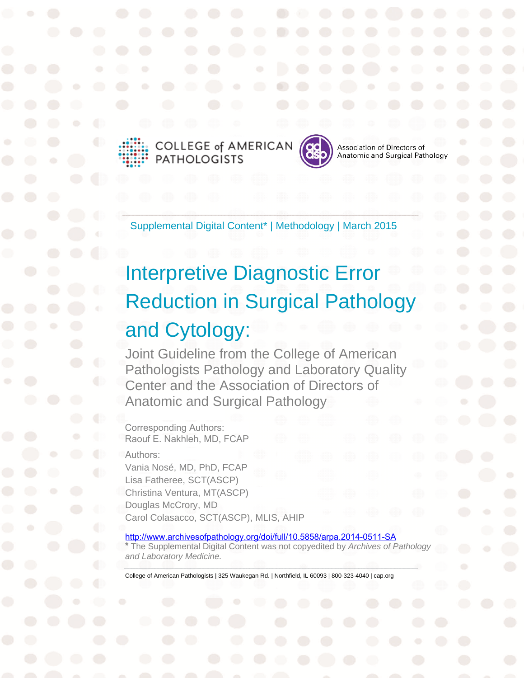





Association of Directors of Anatomic and Surgical Pathology

Supplemental Digital Content\* | Methodology | March 2015

# Interpretive Diagnostic Error Reduction in Surgical Pathology and Cytology:

Joint Guideline from the College of American Pathologists Pathology and Laboratory Quality Center and the Association of Directors of Anatomic and Surgical Pathology

Corresponding Authors: Raouf E. Nakhleh, MD, FCAP

Authors:

Vania Nosé, MD, PhD, FCAP Lisa Fatheree, SCT(ASCP) Christina Ventura, MT(ASCP) Douglas McCrory, MD Carol Colasacco, SCT(ASCP), MLIS, AHIP

http://www.archivesofpathology.org/doi/full/10.5858/arpa.2014-0511-SA

**\*** The Supplemental Digital Content was not copyedited by *Archives of Pathology and Laboratory Medicine.* 

College of American Pathologists | 325 Waukegan Rd. | Northfield, IL 60093 | 800-323-4040 | cap.org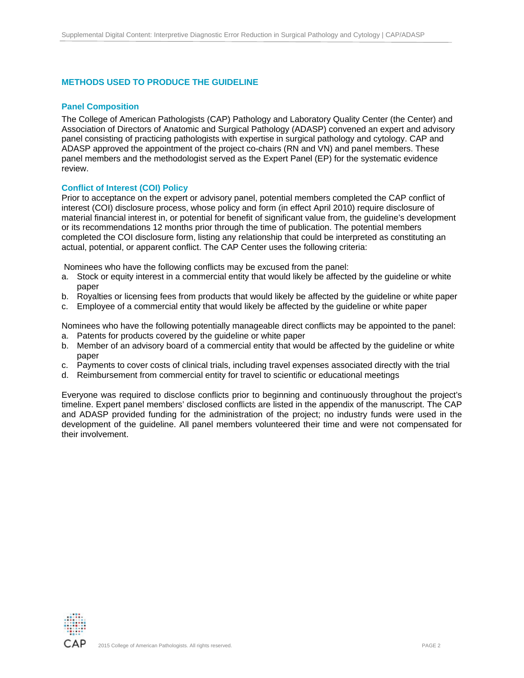## **METHODS USED TO PRODUCE THE GUIDELINE**

#### **Panel Composition**

The College of American Pathologists (CAP) Pathology and Laboratory Quality Center (the Center) and Association of Directors of Anatomic and Surgical Pathology (ADASP) convened an expert and advisory panel consisting of practicing pathologists with expertise in surgical pathology and cytology. CAP and ADASP approved the appointment of the project co-chairs (RN and VN) and panel members. These panel members and the methodologist served as the Expert Panel (EP) for the systematic evidence review.

#### **Conflict of Interest (COI) Policy**

Prior to acceptance on the expert or advisory panel, potential members completed the CAP conflict of interest (COI) disclosure process, whose policy and form (in effect April 2010) require disclosure of material financial interest in, or potential for benefit of significant value from, the guideline's development or its recommendations 12 months prior through the time of publication. The potential members completed the COI disclosure form, listing any relationship that could be interpreted as constituting an actual, potential, or apparent conflict. The CAP Center uses the following criteria:

Nominees who have the following conflicts may be excused from the panel:

- a. Stock or equity interest in a commercial entity that would likely be affected by the guideline or white paper
- b. Royalties or licensing fees from products that would likely be affected by the guideline or white paper
- c. Employee of a commercial entity that would likely be affected by the guideline or white paper

Nominees who have the following potentially manageable direct conflicts may be appointed to the panel: a. Patents for products covered by the guideline or white paper

- b. Member of an advisory board of a commercial entity that would be affected by the guideline or white paper
- c. Payments to cover costs of clinical trials, including travel expenses associated directly with the trial
- d. Reimbursement from commercial entity for travel to scientific or educational meetings

Everyone was required to disclose conflicts prior to beginning and continuously throughout the project's timeline. Expert panel members' disclosed conflicts are listed in the appendix of the manuscript. The CAP and ADASP provided funding for the administration of the project; no industry funds were used in the development of the guideline. All panel members volunteered their time and were not compensated for their involvement.

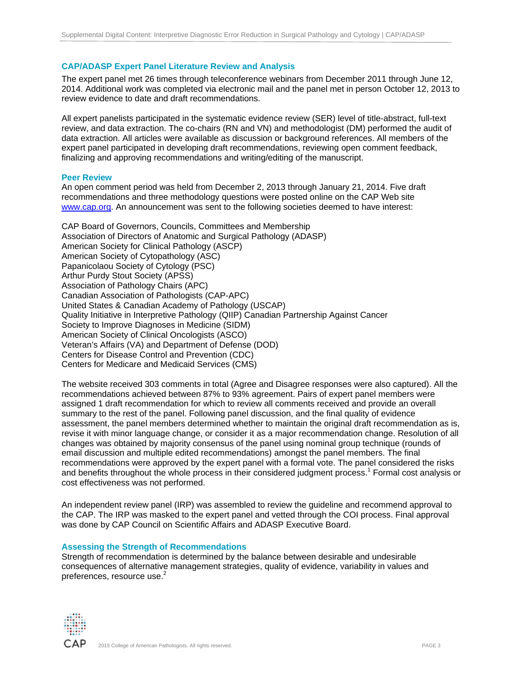# **CAP/ADASP Expert Panel Literature Review and Analysis**

The expert panel met 26 times through teleconference webinars from December 2011 through June 12, 2014. Additional work was completed via electronic mail and the panel met in person October 12, 2013 to review evidence to date and draft recommendations.

All expert panelists participated in the systematic evidence review (SER) level of title-abstract, full-text review, and data extraction. The co-chairs (RN and VN) and methodologist (DM) performed the audit of data extraction. All articles were available as discussion or background references. All members of the expert panel participated in developing draft recommendations, reviewing open comment feedback, finalizing and approving recommendations and writing/editing of the manuscript.

#### **Peer Review**

An open comment period was held from December 2, 2013 through January 21, 2014. Five draft recommendations and three methodology questions were posted online on the CAP Web site www.cap.org. An announcement was sent to the following societies deemed to have interest:

CAP Board of Governors, Councils, Committees and Membership Association of Directors of Anatomic and Surgical Pathology (ADASP) American Society for Clinical Pathology (ASCP) American Society of Cytopathology (ASC) Papanicolaou Society of Cytology (PSC) Arthur Purdy Stout Society (APSS) Association of Pathology Chairs (APC) Canadian Association of Pathologists (CAP-APC) United States & Canadian Academy of Pathology (USCAP) Quality Initiative in Interpretive Pathology (QIIP) Canadian Partnership Against Cancer Society to Improve Diagnoses in Medicine (SIDM) American Society of Clinical Oncologists (ASCO) Veteran's Affairs (VA) and Department of Defense (DOD) Centers for Disease Control and Prevention (CDC) Centers for Medicare and Medicaid Services (CMS)

The website received 303 comments in total (Agree and Disagree responses were also captured). All the recommendations achieved between 87% to 93% agreement. Pairs of expert panel members were assigned 1 draft recommendation for which to review all comments received and provide an overall summary to the rest of the panel. Following panel discussion, and the final quality of evidence assessment, the panel members determined whether to maintain the original draft recommendation as is, revise it with minor language change, or consider it as a major recommendation change. Resolution of all changes was obtained by majority consensus of the panel using nominal group technique (rounds of email discussion and multiple edited recommendations) amongst the panel members. The final recommendations were approved by the expert panel with a formal vote. The panel considered the risks and benefits throughout the whole process in their considered judgment process.<sup>1</sup> Formal cost analysis or cost effectiveness was not performed.

An independent review panel (IRP) was assembled to review the guideline and recommend approval to the CAP. The IRP was masked to the expert panel and vetted through the COI process. Final approval was done by CAP Council on Scientific Affairs and ADASP Executive Board.

## **Assessing the Strength of Recommendations**

Strength of recommendation is determined by the balance between desirable and undesirable consequences of alternative management strategies, quality of evidence, variability in values and preferences, resource use.<sup>2</sup>

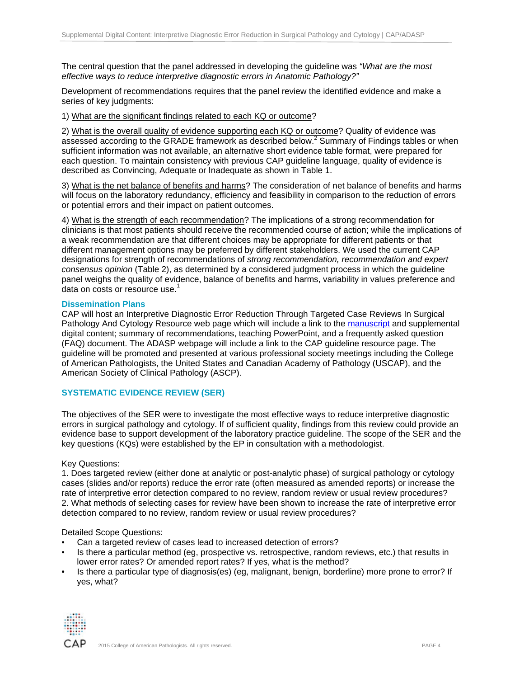The central question that the panel addressed in developing the guideline was *"What are the most effective ways to reduce interpretive diagnostic errors in Anatomic Pathology?"* 

Development of recommendations requires that the panel review the identified evidence and make a series of key judgments:

1) What are the significant findings related to each KQ or outcome?

2) What is the overall quality of evidence supporting each KQ or outcome? Quality of evidence was assessed according to the GRADE framework as described below.<sup>2</sup> Summary of Findings tables or when sufficient information was not available, an alternative short evidence table format, were prepared for each question. To maintain consistency with previous CAP guideline language, quality of evidence is described as Convincing, Adequate or Inadequate as shown in Table 1.

3) What is the net balance of benefits and harms? The consideration of net balance of benefits and harms will focus on the laboratory redundancy, efficiency and feasibility in comparison to the reduction of errors or potential errors and their impact on patient outcomes.

4) What is the strength of each recommendation? The implications of a strong recommendation for clinicians is that most patients should receive the recommended course of action; while the implications of a weak recommendation are that different choices may be appropriate for different patients or that different management options may be preferred by different stakeholders. We used the current CAP designations for strength of recommendations of *strong recommendation, recommendation and expert consensus opinion* (Table 2), as determined by a considered judgment process in which the guideline panel weighs the quality of evidence, balance of benefits and harms, variability in values preference and data on costs or resource use.<sup>1</sup>

#### **Dissemination Plans**

CAP will host an Interpretive Diagnostic Error Reduction Through Targeted Case Reviews In Surgical Pathology And Cytology Resource web page which will include a link to the manuscript and supplemental digital content; summary of recommendations, teaching PowerPoint, and a frequently asked question (FAQ) document. The ADASP webpage will include a link to the CAP guideline resource page. The guideline will be promoted and presented at various professional society meetings including the College of American Pathologists, the United States and Canadian Academy of Pathology (USCAP), and the American Society of Clinical Pathology (ASCP).

## **SYSTEMATIC EVIDENCE REVIEW (SER)**

The objectives of the SER were to investigate the most effective ways to reduce interpretive diagnostic errors in surgical pathology and cytology. If of sufficient quality, findings from this review could provide an evidence base to support development of the laboratory practice guideline. The scope of the SER and the key questions (KQs) were established by the EP in consultation with a methodologist.

#### Key Questions:

1. Does targeted review (either done at analytic or post-analytic phase) of surgical pathology or cytology cases (slides and/or reports) reduce the error rate (often measured as amended reports) or increase the rate of interpretive error detection compared to no review, random review or usual review procedures? 2. What methods of selecting cases for review have been shown to increase the rate of interpretive error detection compared to no review, random review or usual review procedures?

## Detailed Scope Questions:

- Can a targeted review of cases lead to increased detection of errors?
- Is there a particular method (eg, prospective vs. retrospective, random reviews, etc.) that results in lower error rates? Or amended report rates? If yes, what is the method?
- Is there a particular type of diagnosis(es) (eg, malignant, benign, borderline) more prone to error? If yes, what?

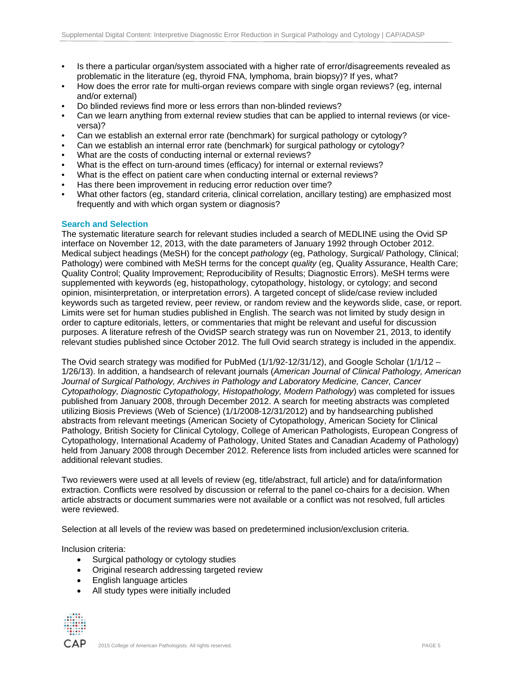- Is there a particular organ/system associated with a higher rate of error/disagreements revealed as problematic in the literature (eg, thyroid FNA, lymphoma, brain biopsy)? If yes, what?
- How does the error rate for multi-organ reviews compare with single organ reviews? (eg, internal and/or external)
- Do blinded reviews find more or less errors than non-blinded reviews?
- Can we learn anything from external review studies that can be applied to internal reviews (or viceversa)?
- Can we establish an external error rate (benchmark) for surgical pathology or cytology?
- Can we establish an internal error rate (benchmark) for surgical pathology or cytology?
- What are the costs of conducting internal or external reviews?
- What is the effect on turn-around times (efficacy) for internal or external reviews?
- What is the effect on patient care when conducting internal or external reviews?
- Has there been improvement in reducing error reduction over time?
- What other factors (eg, standard criteria, clinical correlation, ancillary testing) are emphasized most frequently and with which organ system or diagnosis?

#### **Search and Selection**

The systematic literature search for relevant studies included a search of MEDLINE using the Ovid SP interface on November 12, 2013, with the date parameters of January 1992 through October 2012. Medical subject headings (MeSH) for the concept *pathology* (eg, Pathology, Surgical/ Pathology, Clinical; Pathology) were combined with MeSH terms for the concept *quality* (eg, Quality Assurance, Health Care; Quality Control; Quality Improvement; Reproducibility of Results; Diagnostic Errors). MeSH terms were supplemented with keywords (eg, histopathology, cytopathology, histology, or cytology; and second opinion, misinterpretation, or interpretation errors). A targeted concept of slide/case review included keywords such as targeted review, peer review, or random review and the keywords slide, case, or report. Limits were set for human studies published in English. The search was not limited by study design in order to capture editorials, letters, or commentaries that might be relevant and useful for discussion purposes. A literature refresh of the OvidSP search strategy was run on November 21, 2013, to identify relevant studies published since October 2012. The full Ovid search strategy is included in the appendix.

The Ovid search strategy was modified for PubMed (1/1/92-12/31/12), and Google Scholar (1/1/12 – 1/26/13). In addition, a handsearch of relevant journals (*American Journal of Clinical Pathology, American Journal of Surgical Pathology, Archives in Pathology and Laboratory Medicine, Cancer, Cancer Cytopathology, Diagnostic Cytopathology, Histopathology, Modern Pathology*) was completed for issues published from January 2008, through December 2012. A search for meeting abstracts was completed utilizing Biosis Previews (Web of Science) (1/1/2008-12/31/2012) and by handsearching published abstracts from relevant meetings (American Society of Cytopathology, American Society for Clinical Pathology, British Society for Clinical Cytology, College of American Pathologists, European Congress of Cytopathology, International Academy of Pathology, United States and Canadian Academy of Pathology) held from January 2008 through December 2012. Reference lists from included articles were scanned for additional relevant studies.

Two reviewers were used at all levels of review (eg, title/abstract, full article) and for data/information extraction. Conflicts were resolved by discussion or referral to the panel co-chairs for a decision. When article abstracts or document summaries were not available or a conflict was not resolved, full articles were reviewed.

Selection at all levels of the review was based on predetermined inclusion/exclusion criteria.

Inclusion criteria:

- Surgical pathology or cytology studies
- Original research addressing targeted review
- English language articles
- All study types were initially included

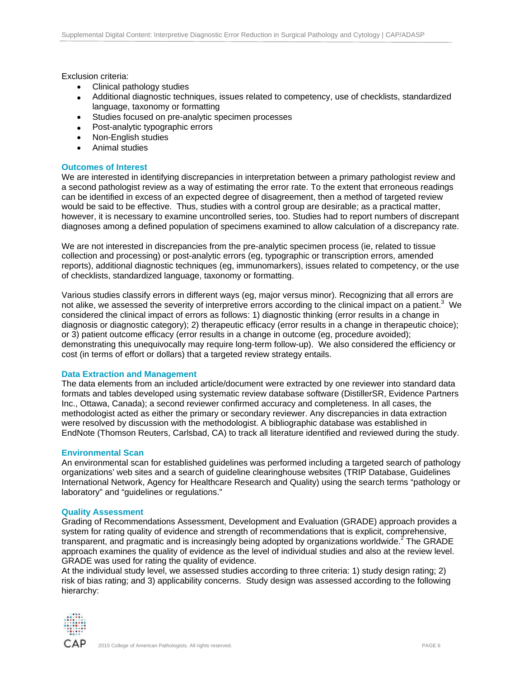Exclusion criteria:

- Clinical pathology studies
- Additional diagnostic techniques, issues related to competency, use of checklists, standardized language, taxonomy or formatting
- Studies focused on pre-analytic specimen processes
- Post-analytic typographic errors
- Non-English studies
- Animal studies

#### **Outcomes of Interest**

We are interested in identifying discrepancies in interpretation between a primary pathologist review and a second pathologist review as a way of estimating the error rate. To the extent that erroneous readings can be identified in excess of an expected degree of disagreement, then a method of targeted review would be said to be effective. Thus, studies with a control group are desirable; as a practical matter, however, it is necessary to examine uncontrolled series, too. Studies had to report numbers of discrepant diagnoses among a defined population of specimens examined to allow calculation of a discrepancy rate.

We are not interested in discrepancies from the pre-analytic specimen process (ie, related to tissue collection and processing) or post-analytic errors (eg, typographic or transcription errors, amended reports), additional diagnostic techniques (eg, immunomarkers), issues related to competency, or the use of checklists, standardized language, taxonomy or formatting.

Various studies classify errors in different ways (eg, major versus minor). Recognizing that all errors are not alike, we assessed the severity of interpretive errors according to the clinical impact on a patient.<sup>3</sup> We considered the clinical impact of errors as follows: 1) diagnostic thinking (error results in a change in diagnosis or diagnostic category); 2) therapeutic efficacy (error results in a change in therapeutic choice); or 3) patient outcome efficacy (error results in a change in outcome (eg, procedure avoided); demonstrating this unequivocally may require long-term follow-up). We also considered the efficiency or cost (in terms of effort or dollars) that a targeted review strategy entails.

## **Data Extraction and Management**

The data elements from an included article/document were extracted by one reviewer into standard data formats and tables developed using systematic review database software (DistillerSR, Evidence Partners Inc., Ottawa, Canada); a second reviewer confirmed accuracy and completeness. In all cases, the methodologist acted as either the primary or secondary reviewer. Any discrepancies in data extraction were resolved by discussion with the methodologist. A bibliographic database was established in EndNote (Thomson Reuters, Carlsbad, CA) to track all literature identified and reviewed during the study.

#### **Environmental Scan**

An environmental scan for established guidelines was performed including a targeted search of pathology organizations' web sites and a search of guideline clearinghouse websites (TRIP Database, Guidelines International Network, Agency for Healthcare Research and Quality) using the search terms "pathology or laboratory" and "guidelines or regulations."

#### **Quality Assessment**

Grading of Recommendations Assessment, Development and Evaluation (GRADE) approach provides a system for rating quality of evidence and strength of recommendations that is explicit, comprehensive, transparent, and pragmatic and is increasingly being adopted by organizations worldwide.<sup>2</sup> The GRADE approach examines the quality of evidence as the level of individual studies and also at the review level. GRADE was used for rating the quality of evidence.

At the individual study level, we assessed studies according to three criteria: 1) study design rating; 2) risk of bias rating; and 3) applicability concerns. Study design was assessed according to the following hierarchy:

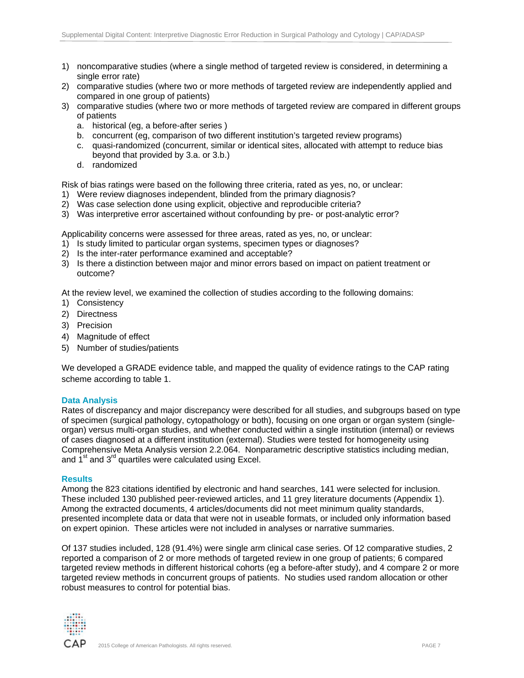- 1) noncomparative studies (where a single method of targeted review is considered, in determining a single error rate)
- 2) comparative studies (where two or more methods of targeted review are independently applied and compared in one group of patients)
- 3) comparative studies (where two or more methods of targeted review are compared in different groups of patients
	- a. historical (eg, a before-after series )
	- b. concurrent (eg, comparison of two different institution's targeted review programs)
	- c. quasi-randomized (concurrent, similar or identical sites, allocated with attempt to reduce bias beyond that provided by 3.a. or 3.b.)
	- d. randomized

Risk of bias ratings were based on the following three criteria, rated as yes, no, or unclear:

- 1) Were review diagnoses independent, blinded from the primary diagnosis?
- 2) Was case selection done using explicit, objective and reproducible criteria?
- 3) Was interpretive error ascertained without confounding by pre- or post-analytic error?

Applicability concerns were assessed for three areas, rated as yes, no, or unclear:

- 1) Is study limited to particular organ systems, specimen types or diagnoses?
- 2) Is the inter-rater performance examined and acceptable?
- 3) Is there a distinction between major and minor errors based on impact on patient treatment or outcome?

At the review level, we examined the collection of studies according to the following domains:

- 1) Consistency
- 2) Directness
- 3) Precision
- 4) Magnitude of effect
- 5) Number of studies/patients

We developed a GRADE evidence table, and mapped the quality of evidence ratings to the CAP rating scheme according to table 1.

## **Data Analysis**

Rates of discrepancy and major discrepancy were described for all studies, and subgroups based on type of specimen (surgical pathology, cytopathology or both), focusing on one organ or organ system (singleorgan) versus multi-organ studies, and whether conducted within a single institution (internal) or reviews of cases diagnosed at a different institution (external). Studies were tested for homogeneity using Comprehensive Meta Analysis version 2.2.064. Nonparametric descriptive statistics including median, and  $1<sup>st</sup>$  and  $3<sup>rd</sup>$  quartiles were calculated using Excel.

## **Results**

Among the 823 citations identified by electronic and hand searches, 141 were selected for inclusion. These included 130 published peer-reviewed articles, and 11 grey literature documents (Appendix 1). Among the extracted documents, 4 articles/documents did not meet minimum quality standards, presented incomplete data or data that were not in useable formats, or included only information based on expert opinion. These articles were not included in analyses or narrative summaries.

Of 137 studies included, 128 (91.4%) were single arm clinical case series. Of 12 comparative studies, 2 reported a comparison of 2 or more methods of targeted review in one group of patients; 6 compared targeted review methods in different historical cohorts (eg a before-after study), and 4 compare 2 or more targeted review methods in concurrent groups of patients. No studies used random allocation or other robust measures to control for potential bias.

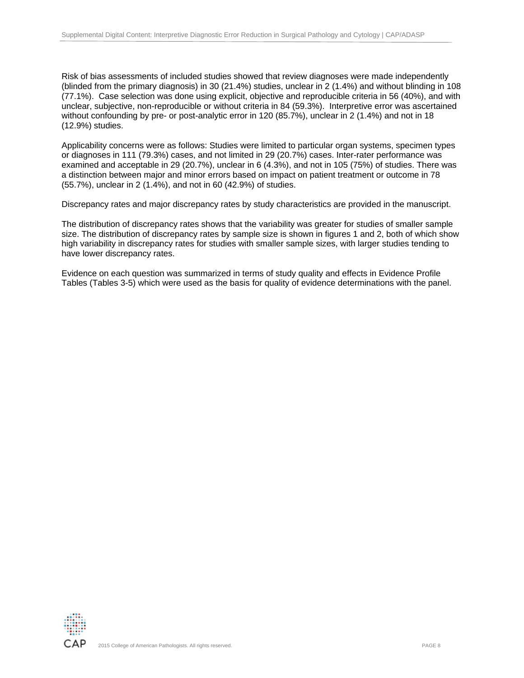Risk of bias assessments of included studies showed that review diagnoses were made independently (blinded from the primary diagnosis) in 30 (21.4%) studies, unclear in 2 (1.4%) and without blinding in 108 (77.1%). Case selection was done using explicit, objective and reproducible criteria in 56 (40%), and with unclear, subjective, non-reproducible or without criteria in 84 (59.3%). Interpretive error was ascertained without confounding by pre- or post-analytic error in 120 (85.7%), unclear in 2 (1.4%) and not in 18 (12.9%) studies.

Applicability concerns were as follows: Studies were limited to particular organ systems, specimen types or diagnoses in 111 (79.3%) cases, and not limited in 29 (20.7%) cases. Inter-rater performance was examined and acceptable in 29 (20.7%), unclear in 6 (4.3%), and not in 105 (75%) of studies. There was a distinction between major and minor errors based on impact on patient treatment or outcome in 78 (55.7%), unclear in 2 (1.4%), and not in 60 (42.9%) of studies.

Discrepancy rates and major discrepancy rates by study characteristics are provided in the manuscript.

The distribution of discrepancy rates shows that the variability was greater for studies of smaller sample size. The distribution of discrepancy rates by sample size is shown in figures 1 and 2, both of which show high variability in discrepancy rates for studies with smaller sample sizes, with larger studies tending to have lower discrepancy rates.

Evidence on each question was summarized in terms of study quality and effects in Evidence Profile Tables (Tables 3-5) which were used as the basis for quality of evidence determinations with the panel.

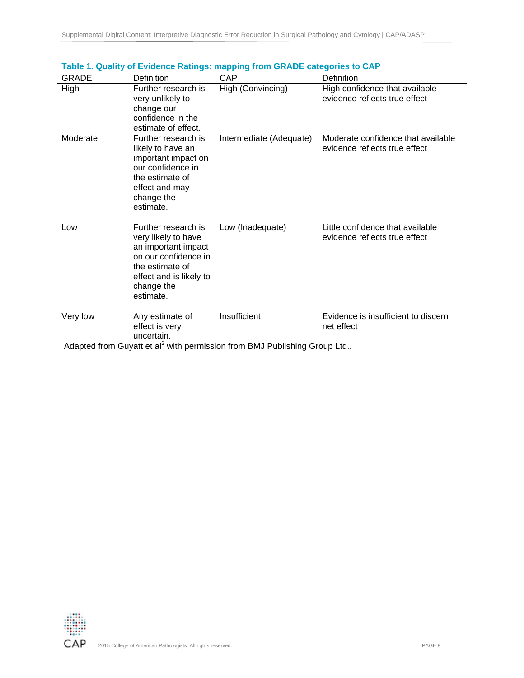|              |                                                                                                                                                                    | . .                     |                                                                     |
|--------------|--------------------------------------------------------------------------------------------------------------------------------------------------------------------|-------------------------|---------------------------------------------------------------------|
| <b>GRADE</b> | Definition                                                                                                                                                         | CAP                     | <b>Definition</b>                                                   |
| High         | Further research is<br>very unlikely to<br>change our<br>confidence in the<br>estimate of effect.                                                                  | High (Convincing)       | High confidence that available<br>evidence reflects true effect     |
| Moderate     | Further research is<br>likely to have an<br>important impact on<br>our confidence in<br>the estimate of<br>effect and may<br>change the<br>estimate.               | Intermediate (Adequate) | Moderate confidence that available<br>evidence reflects true effect |
| Low          | Further research is<br>very likely to have<br>an important impact<br>on our confidence in<br>the estimate of<br>effect and is likely to<br>change the<br>estimate. | Low (Inadequate)        | Little confidence that available<br>evidence reflects true effect   |
| Very low     | Any estimate of<br>effect is very<br>uncertain.                                                                                                                    | Insufficient            | Evidence is insufficient to discern<br>net effect                   |

# **Table 1. Quality of Evidence Ratings: mapping from GRADE categories to CAP**

Adapted from Guyatt et al<sup>2</sup> with permission from BMJ Publishing Group Ltd..

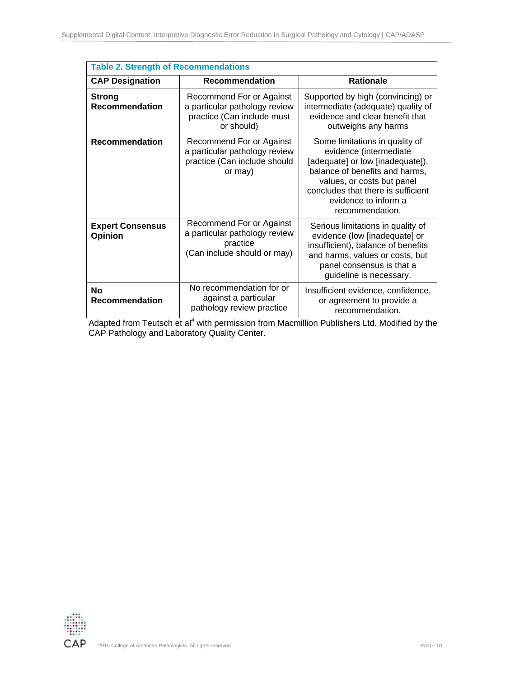| <b>Table 2. Strength of Recommendations</b> |                                                                                                       |                                                                                                                                                                                                                                               |  |  |  |  |  |  |  |  |  |
|---------------------------------------------|-------------------------------------------------------------------------------------------------------|-----------------------------------------------------------------------------------------------------------------------------------------------------------------------------------------------------------------------------------------------|--|--|--|--|--|--|--|--|--|
| <b>CAP Designation</b>                      | <b>Recommendation</b>                                                                                 | <b>Rationale</b>                                                                                                                                                                                                                              |  |  |  |  |  |  |  |  |  |
| <b>Strong</b><br><b>Recommendation</b>      | Recommend For or Against<br>a particular pathology review<br>practice (Can include must<br>or should) | Supported by high (convincing) or<br>intermediate (adequate) quality of<br>evidence and clear benefit that<br>outweighs any harms                                                                                                             |  |  |  |  |  |  |  |  |  |
| Recommendation                              | Recommend For or Against<br>a particular pathology review<br>practice (Can include should<br>or may)  | Some limitations in quality of<br>evidence (intermediate<br>[adequate] or low [inadequate]),<br>balance of benefits and harms,<br>values, or costs but panel<br>concludes that there is sufficient<br>evidence to inform a<br>recommendation. |  |  |  |  |  |  |  |  |  |
| <b>Expert Consensus</b><br><b>Opinion</b>   | Recommend For or Against<br>a particular pathology review<br>practice<br>(Can include should or may)  | Serious limitations in quality of<br>evidence (low [inadequate] or<br>insufficient), balance of benefits<br>and harms, values or costs, but<br>panel consensus is that a<br>guideline is necessary.                                           |  |  |  |  |  |  |  |  |  |
| <b>No</b><br>Recommendation                 | No recommendation for or<br>against a particular<br>pathology review practice                         | Insufficient evidence, confidence,<br>or agreement to provide a<br>recommendation.                                                                                                                                                            |  |  |  |  |  |  |  |  |  |

Adapted from Teutsch et al<sup>4</sup> with permission from Macmillion Publishers Ltd. Modified by the CAP Pathology and Laboratory Quality Center.

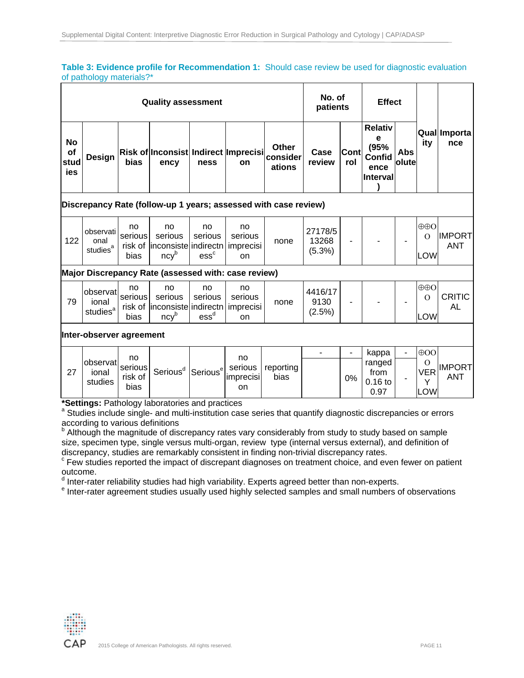## **Table 3: Evidence profile for Recommendation 1:** Should case review be used for diagnostic evaluation of pathology materials?\*

| <b>Quality assessment</b>      |        |      |                                              |      |           |                             | No. of<br>patients |                    | <b>Effect</b>                                                           |                       |     |                      |
|--------------------------------|--------|------|----------------------------------------------|------|-----------|-----------------------------|--------------------|--------------------|-------------------------------------------------------------------------|-----------------------|-----|----------------------|
| <b>No</b><br>of<br>stud<br>ies | Design | bias | Risk of Inconsist Indirect Imprecisi<br>ency | ness | <b>on</b> | Other<br>consider<br>ations | Case<br>review     | <b>Cont</b><br>rol | <b>Relativ</b><br>е<br>(95%<br><b>Confid</b><br>ence<br><b>Interval</b> | Abs<br><b>lolutel</b> | ity | Qual Importal<br>nce |

## **Discrepancy Rate (follow-up 1 years; assessed with case review)**

| serious<br>serious<br>serious<br>serious<br>122<br>13268<br>onal<br>none<br>$\overline{\phantom{a}}$<br>۰<br>۰<br>risk of linconsiste indirectn imprecisi<br>studies<br>$(5.3\%)$<br>$\mathsf{ess}^\mathsf{c}$<br>ncv"<br>bias<br>on |  | no<br>27178/5 | no<br>no<br>no<br>observati |  |  | $\oplus$ O<br>LOW | <b>IIMPORT</b><br><b>ANT</b> |
|--------------------------------------------------------------------------------------------------------------------------------------------------------------------------------------------------------------------------------------|--|---------------|-----------------------------|--|--|-------------------|------------------------------|
|--------------------------------------------------------------------------------------------------------------------------------------------------------------------------------------------------------------------------------------|--|---------------|-----------------------------|--|--|-------------------|------------------------------|

## **Major Discrepancy Rate (assessed with: case review)**

| 79 | <b>lobservat</b><br>ional<br>studies | no<br>serious<br>bias | no<br>serious<br>risk of linconsiste indirectn imprecisi<br>ncv' | no<br>serious<br>ess` | no<br>serious<br>on | none | 4416/17<br>9130<br>$(2.5\%)$ | - | - | - | $\oplus$ O<br><b>LOW</b> | CRITIC<br>AL. |
|----|--------------------------------------|-----------------------|------------------------------------------------------------------|-----------------------|---------------------|------|------------------------------|---|---|---|--------------------------|---------------|
|----|--------------------------------------|-----------------------|------------------------------------------------------------------|-----------------------|---------------------|------|------------------------------|---|---|---|--------------------------|---------------|

## **Inter-observer agreement**

|    |                               | no                         |                                           |   | no                         |                   | ۰ | ۰  | kappa                               | - | $\Theta$ OO            |                             |
|----|-------------------------------|----------------------------|-------------------------------------------|---|----------------------------|-------------------|---|----|-------------------------------------|---|------------------------|-----------------------------|
| 27 | lobservat<br>ional<br>studies | serious<br>risk of<br>bias | Serious <sup>d</sup> Serious <sup>e</sup> | e | serious<br>imprecisi<br>on | reporting<br>bias |   | 0% | ranged<br>from<br>$0.16$ to<br>0.97 |   | O<br>VER<br><b>LOW</b> | <b>IMPORT</b><br><b>ANT</b> |

**\*Settings:** Pathology laboratories and practices <sup>a</sup>

<sup>a</sup> Studies include single- and multi-institution case series that quantify diagnostic discrepancies or errors according to various definitions

**b** Although the magnitude of discrepancy rates vary considerably from study to study based on sample size, specimen type, single versus multi-organ, review type (internal versus external), and definition of discrepancy, studies are remarkably consistent in finding non-trivial discrepancy rates.

<sup>c</sup> Few studies reported the impact of discrepant diagnoses on treatment choice, and even fewer on patient outcome.

<sup>d</sup> Inter-rater reliability studies had high variability. Experts agreed better than non-experts.<br><sup>e</sup> Inter rater agreement studies usually used bigbly selected samples and small numbers a

<sup>e</sup> Inter-rater agreement studies usually used highly selected samples and small numbers of observations

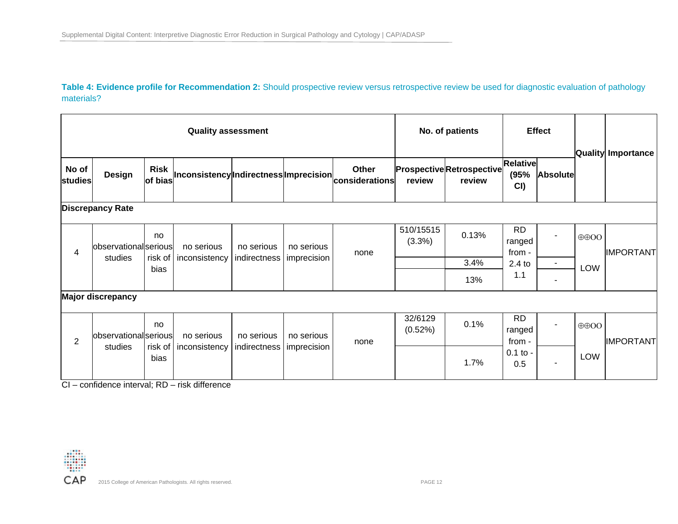Table 4: Evidence profile for Recommendation 2: Should prospective review versus retrospective review be used for diagnostic evaluation of pathology materials?

|                  | <b>Quality assessment</b>        |                       |                                                |                            |                           |                         |                     | No. of patients                            |                                |                 |                           |                           |
|------------------|----------------------------------|-----------------------|------------------------------------------------|----------------------------|---------------------------|-------------------------|---------------------|--------------------------------------------|--------------------------------|-----------------|---------------------------|---------------------------|
| No of<br>studies | Design                           | <b>Risk</b>           | of bias Inconsistency Indirectness Imprecision |                            |                           | Other<br>considerations | review              | <b>Prospective Retrospective</b><br>review | <b>Relative</b><br>(95%<br>CI) | <b>Absolute</b> |                           | <b>Quality Importance</b> |
|                  | <b>Discrepancy Rate</b>          |                       |                                                |                            |                           |                         |                     |                                            |                                |                 |                           |                           |
| 4                | observational serious<br>studies | no<br>risk of<br>bias | no serious                                     | no serious                 | no serious<br>imprecision | none                    | 510/15515<br>(3.3%) | 0.13%                                      | <b>RD</b><br>ranged<br>from -  | ۰               | $\oplus$ OO<br><b>LOW</b> | <b>IMPORTANT</b>          |
|                  |                                  |                       | inconsistency                                  | indirectness               |                           |                         |                     | 3.4%                                       | $2.4$ to                       | ۰.              |                           |                           |
|                  |                                  |                       |                                                |                            |                           |                         |                     | 13%                                        | 1.1                            |                 |                           |                           |
|                  | <b>Major discrepancy</b>         |                       |                                                |                            |                           |                         |                     |                                            |                                |                 |                           |                           |
| $\overline{2}$   | observational serious            | no                    | no serious                                     | no serious                 | no serious                | none                    | 32/6129<br>(0.52%)  | 0.1%                                       | <b>RD</b><br>ranged<br>from -  | ۰               | $\oplus$ OO               | <b>IMPORTANT</b>          |
|                  | studies                          | risk of<br>bias       | inconsistency                                  | indirectness   imprecision |                           |                         |                     | 1.7%                                       | $0.1$ to -<br>0.5              | ۰               | LOW                       |                           |

CI – confidence interval; RD – risk difference

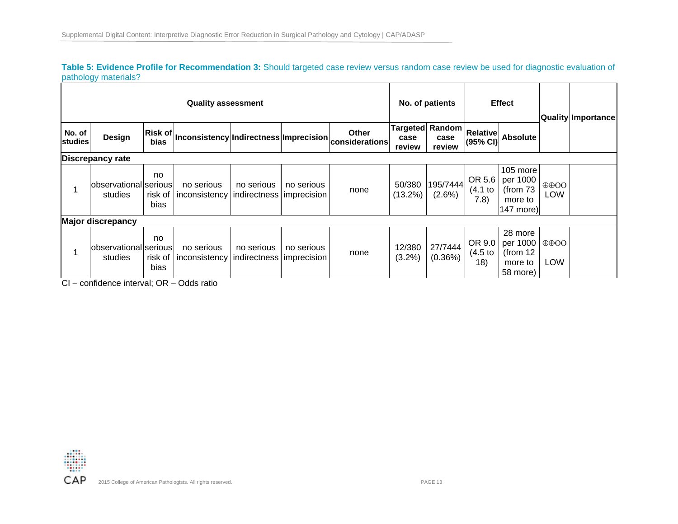**Table 5: Evidence Profile for Recommendation 3:** Should targeted case review versus random case review be used for diagnostic evaluation of pathology materials?

|                          | <b>Quality assessment</b>        |                       |                                                                                                                              |            |            |                                 |                      |                                   |                             | <b>Effect</b>                                              |                           | <b>Quality Importance</b> |
|--------------------------|----------------------------------|-----------------------|------------------------------------------------------------------------------------------------------------------------------|------------|------------|---------------------------------|----------------------|-----------------------------------|-----------------------------|------------------------------------------------------------|---------------------------|---------------------------|
| No. of<br><b>studies</b> | Design                           | bias                  | $\left \mathsf{Risk}\,\mathsf{of}\right \mathsf{Inconsistency}\right \mathsf{Indirectness}\left \mathsf{Imprecision}\right $ |            |            | <b>Other</b><br>lconsiderations | case<br>review       | Targeted Random<br>case<br>review | <b>Relative</b><br>(95% CI) | <b>Absolute</b>                                            |                           |                           |
|                          | <b>Discrepancy rate</b>          |                       |                                                                                                                              |            |            |                                 |                      |                                   |                             |                                                            |                           |                           |
|                          | observational serious<br>studies | no<br>risk of<br>bias | no serious<br>inconsistency   indirectness   imprecision                                                                     | no serious | no serious | none                            | 50/380<br>$(13.2\%)$ | 195/7444<br>$(2.6\%)$             | OR 5.6<br>(4.1 to<br>7.8)   | 105 more<br>per 1000<br>(from $73$<br>more to<br>147 more) | $\oplus$ OO<br><b>LOW</b> |                           |
|                          | <b>Major discrepancy</b>         |                       |                                                                                                                              |            |            |                                 |                      |                                   |                             |                                                            |                           |                           |
|                          | observational serious<br>studies | no<br>risk of<br>bias | no serious<br>  inconsistency   indirectness   imprecision                                                                   | no serious | no serious | none                            | 12/380<br>(3.2%)     | 27/7444<br>$(0.36\%)$             | OR 9.0<br>(4.5)<br>18)      | 28 more<br>per 1000<br>(from $12$<br>more to<br>58 more)   | $\oplus$ OO<br><b>LOW</b> |                           |

CI – confidence interval; OR – Odds ratio

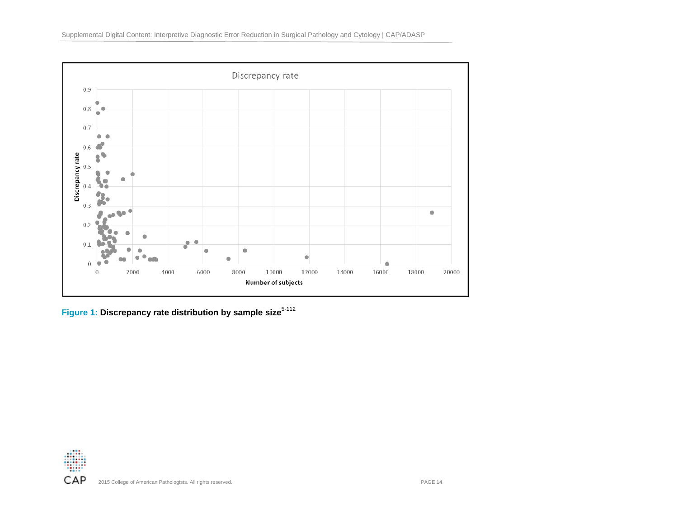

Figure 1: Discrepancy rate distribution by sample size<sup>5-112</sup>

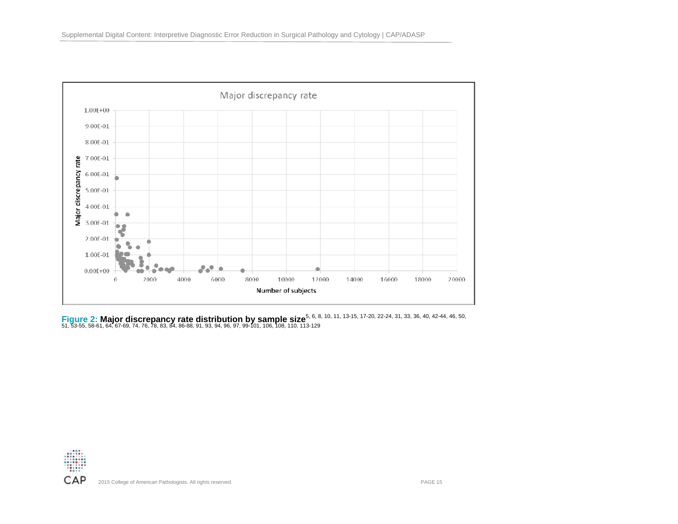

**Figure 2: Major discrepancy rate distribution by sample size**<sup>5, 6, 8, 10, 11, 13-15, 17-20, 22-24, 31, 33, 36, 40, 42-44, 46, 50, 51, 53-55, 58-61, 64, 67-69, 74, 76, 78, 83, 84, 86-88, 91, 93, 94, 96, 97, 99-101, 106, 1</sup>

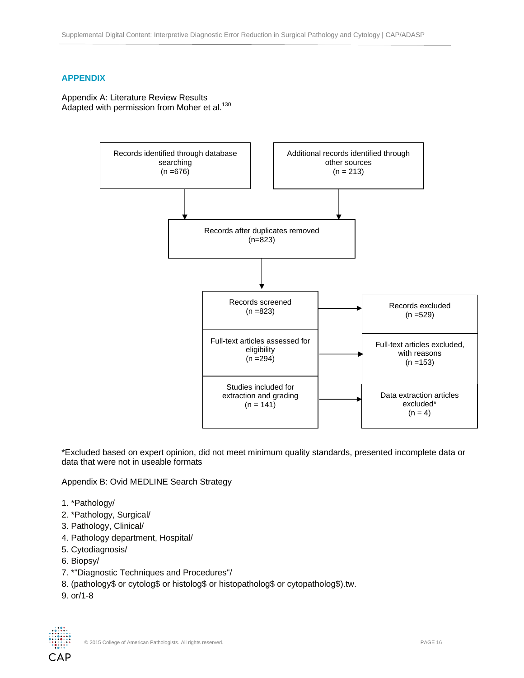# **APPENDIX**

Appendix A: Literature Review Results Adapted with permission from Moher et al.<sup>130</sup>



\*Excluded based on expert opinion, did not meet minimum quality standards, presented incomplete data or data that were not in useable formats

Appendix B: Ovid MEDLINE Search Strategy

- 1. \*Pathology/
- 2. \*Pathology, Surgical/
- 3. Pathology, Clinical/
- 4. Pathology department, Hospital/
- 5. Cytodiagnosis/
- 6. Biopsy/
- 7. \*"Diagnostic Techniques and Procedures"/
- 8. (pathology\$ or cytolog\$ or histolog\$ or histopatholog\$ or cytopatholog\$).tw.
- 9. or/1-8

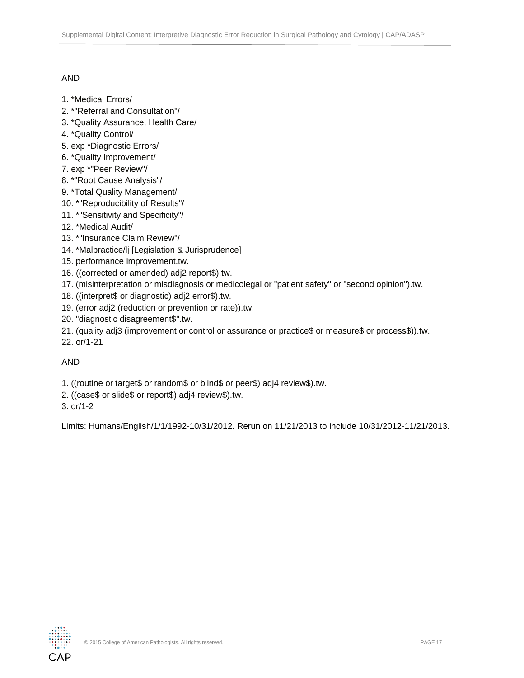# AND

- 1. \*Medical Errors/
- 2. \*"Referral and Consultation"/
- 3. \*Quality Assurance, Health Care/
- 4. \*Quality Control/
- 5. exp \*Diagnostic Errors/
- 6. \*Quality Improvement/
- 7. exp \*"Peer Review"/
- 8. \*"Root Cause Analysis"/
- 9. \*Total Quality Management/
- 10. \*"Reproducibility of Results"/
- 11. \*"Sensitivity and Specificity"/
- 12. \*Medical Audit/
- 13. \*"Insurance Claim Review"/
- 14. \*Malpractice/lj [Legislation & Jurisprudence]
- 15. performance improvement.tw.
- 16. ((corrected or amended) adj2 report\$).tw.
- 17. (misinterpretation or misdiagnosis or medicolegal or "patient safety" or "second opinion").tw.
- 18. ((interpret\$ or diagnostic) adj2 error\$).tw.
- 19. (error adj2 (reduction or prevention or rate)).tw.
- 20. "diagnostic disagreement\$".tw.
- 21. (quality adj3 (improvement or control or assurance or practice\$ or measure\$ or process\$)).tw.
- 22. or/1-21

# AND

- 1. ((routine or target\$ or random\$ or blind\$ or peer\$) adj4 review\$).tw.
- 2. ((case\$ or slide\$ or report\$) adj4 review\$).tw.
- 3. or/1-2

Limits: Humans/English/1/1/1992-10/31/2012. Rerun on 11/21/2013 to include 10/31/2012-11/21/2013.

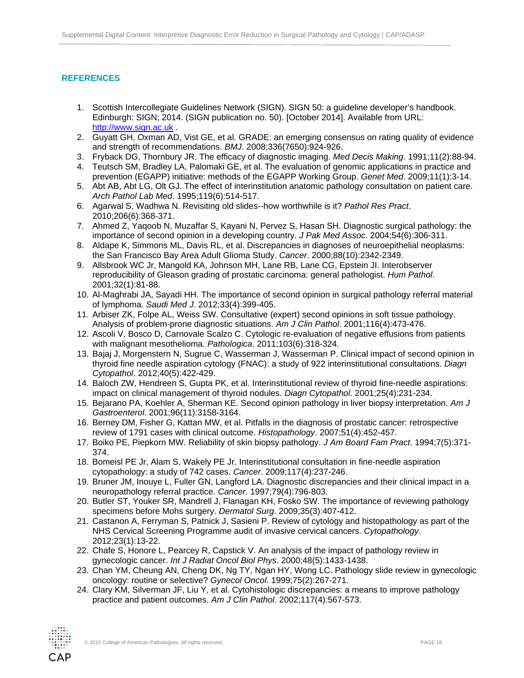# **REFERENCES**

- 1. Scottish Intercollegiate Guidelines Network (SIGN). SIGN 50: a guideline developer's handbook. Edinburgh: SIGN; 2014. (SIGN publication no. 50). [October 2014]. Available from URL: http://www.sign.ac.uk .
- 2. Guyatt GH, Oxman AD, Vist GE, et al. GRADE: an emerging consensus on rating quality of evidence and strength of recommendations. *BMJ*. 2008;336(7650):924-926.
- 3. Fryback DG, Thornbury JR. The efficacy of diagnostic imaging. *Med Decis Making*. 1991;11(2):88-94.
- 4. Teutsch SM, Bradley LA, Palomaki GE, et al. The evaluation of genomic applications in practice and prevention (EGAPP) initiative: methods of the EGAPP Working Group. *Genet Med*. 2009;11(1):3-14.
- 5. Abt AB, Abt LG, Olt GJ. The effect of interinstitution anatomic pathology consultation on patient care. *Arch Pathol Lab Med*. 1995;119(6):514-517.
- 6. Agarwal S, Wadhwa N. Revisiting old slides--how worthwhile is it? *Pathol Res Pract*. 2010;206(6):368-371.
- 7. Ahmed Z, Yaqoob N, Muzaffar S, Kayani N, Pervez S, Hasan SH. Diagnostic surgical pathology: the importance of second opinion in a developing country. *J Pak Med Assoc*. 2004;54(6):306-311.
- 8. Aldape K, Simmons ML, Davis RL, et al. Discrepancies in diagnoses of neuroepithelial neoplasms: the San Francisco Bay Area Adult Glioma Study. *Cancer*. 2000;88(10):2342-2349.
- 9. Allsbrook WC Jr, Mangold KA, Johnson MH, Lane RB, Lane CG, Epstein JI. Interobserver reproducibility of Gleason grading of prostatic carcinoma: general pathologist. *Hum Pathol*. 2001;32(1):81-88.
- 10. Al-Maghrabi JA, Sayadi HH. The importance of second opinion in surgical pathology referral material of lymphoma. *Saudi Med J*. 2012;33(4):399-405.
- 11. Arbiser ZK, Folpe AL, Weiss SW. Consultative (expert) second opinions in soft tissue pathology. Analysis of problem-prone diagnostic situations. *Am J Clin Pathol*. 2001;116(4):473-476.
- 12. Ascoli V, Bosco D, Carnovale Scalzo C. Cytologic re-evaluation of negative effusions from patients with malignant mesothelioma. *Pathologica*. 2011;103(6):318-324.
- 13. Bajaj J, Morgenstern N, Sugrue C, Wasserman J, Wasserman P. Clinical impact of second opinion in thyroid fine needle aspiration cytology (FNAC): a study of 922 interinstitutional consultations. *Diagn Cytopathol*. 2012;40(5):422-429.
- 14. Baloch ZW, Hendreen S, Gupta PK, et al. Interinstitutional review of thyroid fine-needle aspirations: impact on clinical management of thyroid nodules. *Diagn Cytopathol*. 2001;25(4):231-234.
- 15. Bejarano PA, Koehler A, Sherman KE. Second opinion pathology in liver biopsy interpretation. *Am J Gastroenterol*. 2001;96(11):3158-3164.
- 16. Berney DM, Fisher G, Kattan MW, et al. Pitfalls in the diagnosis of prostatic cancer: retrospective review of 1791 cases with clinical outcome. *Histopathology*. 2007;51(4):452-457.
- 17. Boiko PE, Piepkorn MW. Reliability of skin biopsy pathology. *J Am Board Fam Pract*. 1994;7(5):371- 374.
- 18. Bomeisl PE Jr, Alam S, Wakely PE Jr. Interinstitutional consultation in fine-needle aspiration cytopathology: a study of 742 cases. *Cancer*. 2009;117(4):237-246.
- 19. Bruner JM, Inouye L, Fuller GN, Langford LA. Diagnostic discrepancies and their clinical impact in a neuropathology referral practice. *Cancer*. 1997;79(4):796-803.
- 20. Butler ST, Youker SR, Mandrell J, Flanagan KH, Fosko SW. The importance of reviewing pathology specimens before Mohs surgery. *Dermatol Surg*. 2009;35(3):407-412.
- 21. Castanon A, Ferryman S, Patnick J, Sasieni P. Review of cytology and histopathology as part of the NHS Cervical Screening Programme audit of invasive cervical cancers. *Cytopathology*. 2012;23(1):13-22.
- 22. Chafe S, Honore L, Pearcey R, Capstick V. An analysis of the impact of pathology review in gynecologic cancer. *Int J Radiat Oncol Biol Phys*. 2000;48(5):1433-1438.
- 23. Chan YM, Cheung AN, Cheng DK, Ng TY, Ngan HY, Wong LC. Pathology slide review in gynecologic oncology: routine or selective? *Gynecol Oncol*. 1999;75(2):267-271.
- 24. Clary KM, Silverman JF, Liu Y, et al. Cytohistologic discrepancies: a means to improve pathology practice and patient outcomes. *Am J Clin Pathol*. 2002;117(4):567-573.

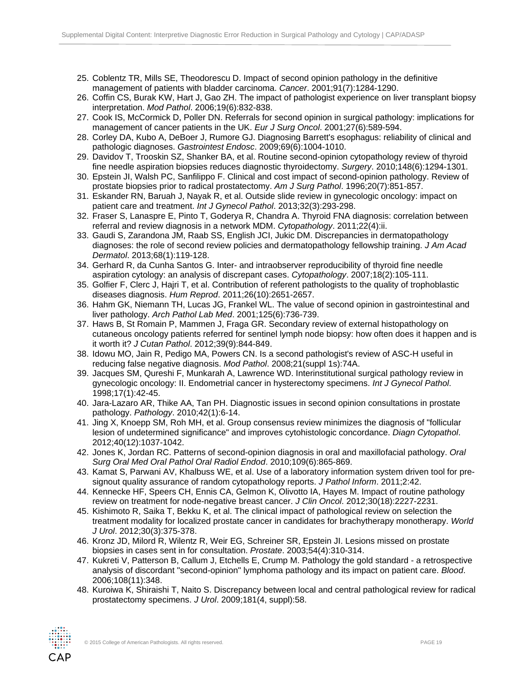- 25. Coblentz TR, Mills SE, Theodorescu D. Impact of second opinion pathology in the definitive management of patients with bladder carcinoma. *Cancer*. 2001;91(7):1284-1290.
- 26. Coffin CS, Burak KW, Hart J, Gao ZH. The impact of pathologist experience on liver transplant biopsy interpretation. *Mod Pathol*. 2006;19(6):832-838.
- 27. Cook IS, McCormick D, Poller DN. Referrals for second opinion in surgical pathology: implications for management of cancer patients in the UK. *Eur J Surg Oncol*. 2001;27(6):589-594.
- 28. Corley DA, Kubo A, DeBoer J, Rumore GJ. Diagnosing Barrett's esophagus: reliability of clinical and pathologic diagnoses. *Gastrointest Endosc*. 2009;69(6):1004-1010.
- 29. Davidov T, Trooskin SZ, Shanker BA, et al. Routine second-opinion cytopathology review of thyroid fine needle aspiration biopsies reduces diagnostic thyroidectomy. *Surgery*. 2010;148(6):1294-1301.
- 30. Epstein JI, Walsh PC, Sanfilippo F. Clinical and cost impact of second-opinion pathology. Review of prostate biopsies prior to radical prostatectomy. *Am J Surg Pathol*. 1996;20(7):851-857.
- 31. Eskander RN, Baruah J, Nayak R, et al. Outside slide review in gynecologic oncology: impact on patient care and treatment. *Int J Gynecol Pathol*. 2013;32(3):293-298.
- 32. Fraser S, Lanaspre E, Pinto T, Goderya R, Chandra A. Thyroid FNA diagnosis: correlation between referral and review diagnosis in a network MDM. *Cytopathology*. 2011;22(4):ii.
- 33. Gaudi S, Zarandona JM, Raab SS, English JCI, Jukic DM. Discrepancies in dermatopathology diagnoses: the role of second review policies and dermatopathology fellowship training. *J Am Acad Dermatol*. 2013;68(1):119-128.
- 34. Gerhard R, da Cunha Santos G. Inter- and intraobserver reproducibility of thyroid fine needle aspiration cytology: an analysis of discrepant cases. *Cytopathology*. 2007;18(2):105-111.
- 35. Golfier F, Clerc J, Hajri T, et al. Contribution of referent pathologists to the quality of trophoblastic diseases diagnosis. *Hum Reprod*. 2011;26(10):2651-2657.
- 36. Hahm GK, Niemann TH, Lucas JG, Frankel WL. The value of second opinion in gastrointestinal and liver pathology. *Arch Pathol Lab Med*. 2001;125(6):736-739.
- 37. Haws B, St Romain P, Mammen J, Fraga GR. Secondary review of external histopathology on cutaneous oncology patients referred for sentinel lymph node biopsy: how often does it happen and is it worth it? *J Cutan Pathol*. 2012;39(9):844-849.
- 38. Idowu MO, Jain R, Pedigo MA, Powers CN. Is a second pathologist's review of ASC-H useful in reducing false negative diagnosis. *Mod Pathol*. 2008;21(suppl 1s):74A.
- 39. Jacques SM, Qureshi F, Munkarah A, Lawrence WD. Interinstitutional surgical pathology review in gynecologic oncology: II. Endometrial cancer in hysterectomy specimens. *Int J Gynecol Pathol*. 1998;17(1):42-45.
- 40. Jara-Lazaro AR, Thike AA, Tan PH. Diagnostic issues in second opinion consultations in prostate pathology. *Pathology*. 2010;42(1):6-14.
- 41. Jing X, Knoepp SM, Roh MH, et al. Group consensus review minimizes the diagnosis of "follicular lesion of undetermined significance" and improves cytohistologic concordance. *Diagn Cytopathol*. 2012;40(12):1037-1042.
- 42. Jones K, Jordan RC. Patterns of second-opinion diagnosis in oral and maxillofacial pathology. *Oral Surg Oral Med Oral Pathol Oral Radiol Endod*. 2010;109(6):865-869.
- 43. Kamat S, Parwani AV, Khalbuss WE, et al. Use of a laboratory information system driven tool for presignout quality assurance of random cytopathology reports. *J Pathol Inform*. 2011;2:42.
- 44. Kennecke HF, Speers CH, Ennis CA, Gelmon K, Olivotto IA, Hayes M. Impact of routine pathology review on treatment for node-negative breast cancer. *J Clin Oncol*. 2012;30(18):2227-2231.
- 45. Kishimoto R, Saika T, Bekku K, et al. The clinical impact of pathological review on selection the treatment modality for localized prostate cancer in candidates for brachytherapy monotherapy. *World J Urol*. 2012;30(3):375-378.
- 46. Kronz JD, Milord R, Wilentz R, Weir EG, Schreiner SR, Epstein JI. Lesions missed on prostate biopsies in cases sent in for consultation. *Prostate*. 2003;54(4):310-314.
- 47. Kukreti V, Patterson B, Callum J, Etchells E, Crump M. Pathology the gold standard a retrospective analysis of discordant "second-opinion" lymphoma pathology and its impact on patient care. *Blood*. 2006;108(11):348.
- 48. Kuroiwa K, Shiraishi T, Naito S. Discrepancy between local and central pathological review for radical prostatectomy specimens. *J Urol*. 2009;181(4, suppl):58.

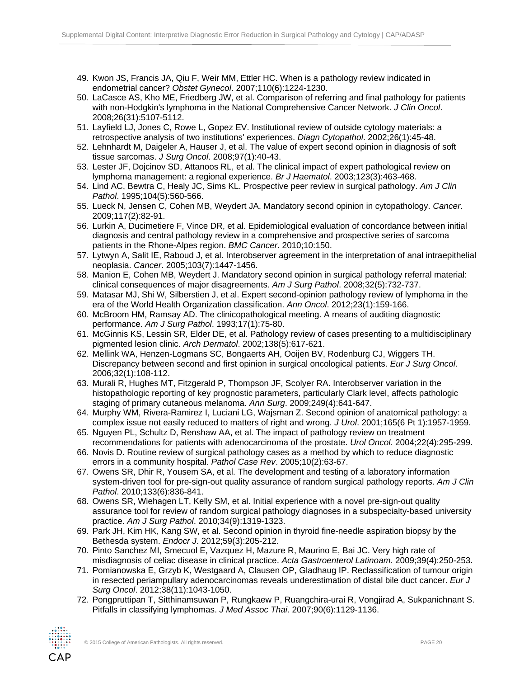- 49. Kwon JS, Francis JA, Qiu F, Weir MM, Ettler HC. When is a pathology review indicated in endometrial cancer? *Obstet Gynecol*. 2007;110(6):1224-1230.
- 50. LaCasce AS, Kho ME, Friedberg JW, et al. Comparison of referring and final pathology for patients with non-Hodgkin's lymphoma in the National Comprehensive Cancer Network. *J Clin Oncol*. 2008;26(31):5107-5112.
- 51. Layfield LJ, Jones C, Rowe L, Gopez EV. Institutional review of outside cytology materials: a retrospective analysis of two institutions' experiences. *Diagn Cytopathol*. 2002;26(1):45-48.
- 52. Lehnhardt M, Daigeler A, Hauser J, et al. The value of expert second opinion in diagnosis of soft tissue sarcomas. *J Surg Oncol*. 2008;97(1):40-43.
- 53. Lester JF, Dojcinov SD, Attanoos RL, et al. The clinical impact of expert pathological review on lymphoma management: a regional experience. *Br J Haematol*. 2003;123(3):463-468.
- 54. Lind AC, Bewtra C, Healy JC, Sims KL. Prospective peer review in surgical pathology. *Am J Clin Pathol*. 1995;104(5):560-566.
- 55. Lueck N, Jensen C, Cohen MB, Weydert JA. Mandatory second opinion in cytopathology. *Cancer*. 2009;117(2):82-91.
- 56. Lurkin A, Ducimetiere F, Vince DR, et al. Epidemiological evaluation of concordance between initial diagnosis and central pathology review in a comprehensive and prospective series of sarcoma patients in the Rhone-Alpes region. *BMC Cancer*. 2010;10:150.
- 57. Lytwyn A, Salit IE, Raboud J, et al. Interobserver agreement in the interpretation of anal intraepithelial neoplasia. *Cancer*. 2005;103(7):1447-1456.
- 58. Manion E, Cohen MB, Weydert J. Mandatory second opinion in surgical pathology referral material: clinical consequences of major disagreements. *Am J Surg Pathol*. 2008;32(5):732-737.
- 59. Matasar MJ, Shi W, Silberstien J, et al. Expert second-opinion pathology review of lymphoma in the era of the World Health Organization classification. *Ann Oncol*. 2012;23(1):159-166.
- 60. McBroom HM, Ramsay AD. The clinicopathological meeting. A means of auditing diagnostic performance. *Am J Surg Pathol*. 1993;17(1):75-80.
- 61. McGinnis KS, Lessin SR, Elder DE, et al. Pathology review of cases presenting to a multidisciplinary pigmented lesion clinic. *Arch Dermatol*. 2002;138(5):617-621.
- 62. Mellink WA, Henzen-Logmans SC, Bongaerts AH, Ooijen BV, Rodenburg CJ, Wiggers TH. Discrepancy between second and first opinion in surgical oncological patients. *Eur J Surg Oncol*. 2006;32(1):108-112.
- 63. Murali R, Hughes MT, Fitzgerald P, Thompson JF, Scolyer RA. Interobserver variation in the histopathologic reporting of key prognostic parameters, particularly Clark level, affects pathologic staging of primary cutaneous melanoma. *Ann Surg*. 2009;249(4):641-647.
- 64. Murphy WM, Rivera-Ramirez I, Luciani LG, Wajsman Z. Second opinion of anatomical pathology: a complex issue not easily reduced to matters of right and wrong. *J Urol*. 2001;165(6 Pt 1):1957-1959.
- 65. Nguyen PL, Schultz D, Renshaw AA, et al. The impact of pathology review on treatment recommendations for patients with adenocarcinoma of the prostate. *Urol Oncol*. 2004;22(4):295-299.
- 66. Novis D. Routine review of surgical pathology cases as a method by which to reduce diagnostic errors in a community hospital. *Pathol Case Rev*. 2005;10(2):63-67.
- 67. Owens SR, Dhir R, Yousem SA, et al. The development and testing of a laboratory information system-driven tool for pre-sign-out quality assurance of random surgical pathology reports. *Am J Clin Pathol*. 2010;133(6):836-841.
- 68. Owens SR, Wiehagen LT, Kelly SM, et al. Initial experience with a novel pre-sign-out quality assurance tool for review of random surgical pathology diagnoses in a subspecialty-based university practice. *Am J Surg Pathol*. 2010;34(9):1319-1323.
- 69. Park JH, Kim HK, Kang SW, et al. Second opinion in thyroid fine-needle aspiration biopsy by the Bethesda system. *Endocr J*. 2012;59(3):205-212.
- 70. Pinto Sanchez MI, Smecuol E, Vazquez H, Mazure R, Maurino E, Bai JC. Very high rate of misdiagnosis of celiac disease in clinical practice. *Acta Gastroenterol Latinoam*. 2009;39(4):250-253.
- 71. Pomianowska E, Grzyb K, Westgaard A, Clausen OP, Gladhaug IP. Reclassification of tumour origin in resected periampullary adenocarcinomas reveals underestimation of distal bile duct cancer. *Eur J Surg Oncol*. 2012;38(11):1043-1050.
- 72. Pongpruttipan T, Sitthinamsuwan P, Rungkaew P, Ruangchira-urai R, Vongjirad A, Sukpanichnant S. Pitfalls in classifying lymphomas. *J Med Assoc Thai*. 2007;90(6):1129-1136.

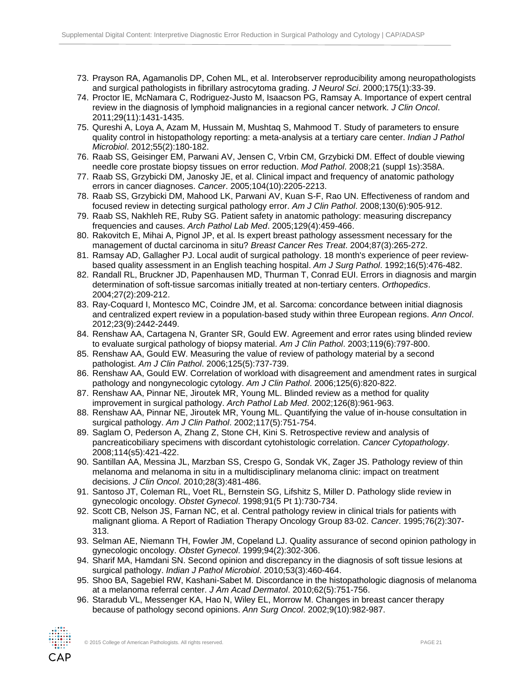- 73. Prayson RA, Agamanolis DP, Cohen ML, et al. Interobserver reproducibility among neuropathologists and surgical pathologists in fibrillary astrocytoma grading. *J Neurol Sci*. 2000;175(1):33-39.
- 74. Proctor IE, McNamara C, Rodriguez-Justo M, Isaacson PG, Ramsay A. Importance of expert central review in the diagnosis of lymphoid malignancies in a regional cancer network. *J Clin Oncol*. 2011;29(11):1431-1435.
- 75. Qureshi A, Loya A, Azam M, Hussain M, Mushtaq S, Mahmood T. Study of parameters to ensure quality control in histopathology reporting: a meta-analysis at a tertiary care center. *Indian J Pathol Microbiol*. 2012;55(2):180-182.
- 76. Raab SS, Geisinger EM, Parwani AV, Jensen C, Vrbin CM, Grzybicki DM. Effect of double viewing needle core prostate biopsy tissues on error reduction. *Mod Pathol*. 2008;21 (suppl 1s):358A.
- 77. Raab SS, Grzybicki DM, Janosky JE, et al. Clinical impact and frequency of anatomic pathology errors in cancer diagnoses. *Cancer*. 2005;104(10):2205-2213.
- 78. Raab SS, Grzybicki DM, Mahood LK, Parwani AV, Kuan S-F, Rao UN. Effectiveness of random and focused review in detecting surgical pathology error. *Am J Clin Pathol*. 2008;130(6):905-912.
- 79. Raab SS, Nakhleh RE, Ruby SG. Patient safety in anatomic pathology: measuring discrepancy frequencies and causes. *Arch Pathol Lab Med*. 2005;129(4):459-466.
- 80. Rakovitch E, Mihai A, Pignol JP, et al. Is expert breast pathology assessment necessary for the management of ductal carcinoma in situ? *Breast Cancer Res Treat*. 2004;87(3):265-272.
- 81. Ramsay AD, Gallagher PJ. Local audit of surgical pathology. 18 month's experience of peer reviewbased quality assessment in an English teaching hospital. *Am J Surg Pathol*. 1992;16(5):476-482.
- 82. Randall RL, Bruckner JD, Papenhausen MD, Thurman T, Conrad EUI. Errors in diagnosis and margin determination of soft-tissue sarcomas initially treated at non-tertiary centers. *Orthopedics*. 2004;27(2):209-212.
- 83. Ray-Coquard I, Montesco MC, Coindre JM, et al. Sarcoma: concordance between initial diagnosis and centralized expert review in a population-based study within three European regions. *Ann Oncol*. 2012;23(9):2442-2449.
- 84. Renshaw AA, Cartagena N, Granter SR, Gould EW. Agreement and error rates using blinded review to evaluate surgical pathology of biopsy material. *Am J Clin Pathol*. 2003;119(6):797-800.
- 85. Renshaw AA, Gould EW. Measuring the value of review of pathology material by a second pathologist. *Am J Clin Pathol*. 2006;125(5):737-739.
- 86. Renshaw AA, Gould EW. Correlation of workload with disagreement and amendment rates in surgical pathology and nongynecologic cytology. *Am J Clin Pathol*. 2006;125(6):820-822.
- 87. Renshaw AA, Pinnar NE, Jiroutek MR, Young ML. Blinded review as a method for quality improvement in surgical pathology. *Arch Pathol Lab Med*. 2002;126(8):961-963.
- 88. Renshaw AA, Pinnar NE, Jiroutek MR, Young ML. Quantifying the value of in-house consultation in surgical pathology. *Am J Clin Pathol*. 2002;117(5):751-754.
- 89. Saglam O, Pederson A, Zhang Z, Stone CH, Kini S. Retrospective review and analysis of pancreaticobiliary specimens with discordant cytohistologic correlation. *Cancer Cytopathology*. 2008;114(s5):421-422.
- 90. Santillan AA, Messina JL, Marzban SS, Crespo G, Sondak VK, Zager JS. Pathology review of thin melanoma and melanoma in situ in a multidisciplinary melanoma clinic: impact on treatment decisions. *J Clin Oncol*. 2010;28(3):481-486.
- 91. Santoso JT, Coleman RL, Voet RL, Bernstein SG, Lifshitz S, Miller D. Pathology slide review in gynecologic oncology. *Obstet Gynecol*. 1998;91(5 Pt 1):730-734.
- 92. Scott CB, Nelson JS, Farnan NC, et al. Central pathology review in clinical trials for patients with malignant glioma. A Report of Radiation Therapy Oncology Group 83-02. *Cancer*. 1995;76(2):307- 313.
- 93. Selman AE, Niemann TH, Fowler JM, Copeland LJ. Quality assurance of second opinion pathology in gynecologic oncology. *Obstet Gynecol*. 1999;94(2):302-306.
- 94. Sharif MA, Hamdani SN. Second opinion and discrepancy in the diagnosis of soft tissue lesions at surgical pathology. *Indian J Pathol Microbiol*. 2010;53(3):460-464.
- 95. Shoo BA, Sagebiel RW, Kashani-Sabet M. Discordance in the histopathologic diagnosis of melanoma at a melanoma referral center. *J Am Acad Dermatol*. 2010;62(5):751-756.
- 96. Staradub VL, Messenger KA, Hao N, Wiley EL, Morrow M. Changes in breast cancer therapy because of pathology second opinions. *Ann Surg Oncol*. 2002;9(10):982-987.

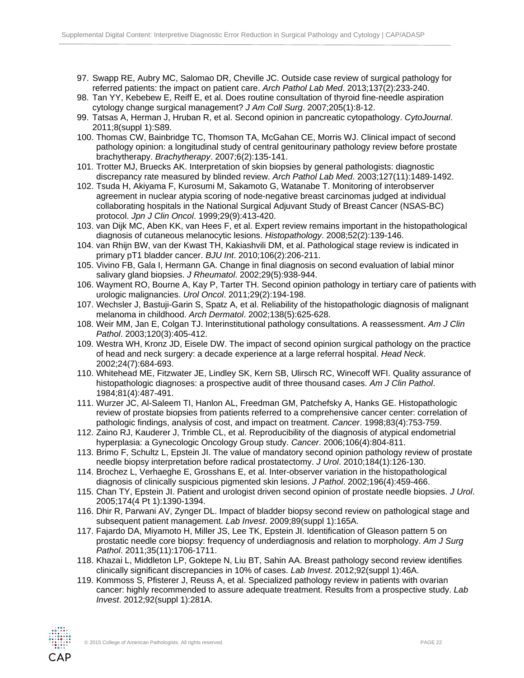- 97. Swapp RE, Aubry MC, Salomao DR, Cheville JC. Outside case review of surgical pathology for referred patients: the impact on patient care. *Arch Pathol Lab Med*. 2013;137(2):233-240.
- 98. Tan YY, Kebebew E, Reiff E, et al. Does routine consultation of thyroid fine-needle aspiration cytology change surgical management? *J Am Coll Surg*. 2007;205(1):8-12.
- 99. Tatsas A, Herman J, Hruban R, et al. Second opinion in pancreatic cytopathology. *CytoJournal*. 2011;8(suppl 1):S89.
- 100. Thomas CW, Bainbridge TC, Thomson TA, McGahan CE, Morris WJ. Clinical impact of second pathology opinion: a longitudinal study of central genitourinary pathology review before prostate brachytherapy. *Brachytherapy*. 2007;6(2):135-141.
- 101. Trotter MJ, Bruecks AK. Interpretation of skin biopsies by general pathologists: diagnostic discrepancy rate measured by blinded review. *Arch Pathol Lab Med*. 2003;127(11):1489-1492.
- 102. Tsuda H, Akiyama F, Kurosumi M, Sakamoto G, Watanabe T. Monitoring of interobserver agreement in nuclear atypia scoring of node-negative breast carcinomas judged at individual collaborating hospitals in the National Surgical Adjuvant Study of Breast Cancer (NSAS-BC) protocol. *Jpn J Clin Oncol*. 1999;29(9):413-420.
- 103. van Dijk MC, Aben KK, van Hees F, et al. Expert review remains important in the histopathological diagnosis of cutaneous melanocytic lesions. *Histopathology*. 2008;52(2):139-146.
- 104. van Rhijn BW, van der Kwast TH, Kakiashvili DM, et al. Pathological stage review is indicated in primary pT1 bladder cancer. *BJU Int*. 2010;106(2):206-211.
- 105. Vivino FB, Gala I, Hermann GA. Change in final diagnosis on second evaluation of labial minor salivary gland biopsies. *J Rheumatol*. 2002;29(5):938-944.
- 106. Wayment RO, Bourne A, Kay P, Tarter TH. Second opinion pathology in tertiary care of patients with urologic malignancies. *Urol Oncol*. 2011;29(2):194-198.
- 107. Wechsler J, Bastuji-Garin S, Spatz A, et al. Reliability of the histopathologic diagnosis of malignant melanoma in childhood. *Arch Dermatol*. 2002;138(5):625-628.
- 108. Weir MM, Jan E, Colgan TJ. Interinstitutional pathology consultations. A reassessment. *Am J Clin Pathol*. 2003;120(3):405-412.
- 109. Westra WH, Kronz JD, Eisele DW. The impact of second opinion surgical pathology on the practice of head and neck surgery: a decade experience at a large referral hospital. *Head Neck*. 2002;24(7):684-693.
- 110. Whitehead ME, Fitzwater JE, Lindley SK, Kern SB, Ulirsch RC, Winecoff WFI. Quality assurance of histopathologic diagnoses: a prospective audit of three thousand cases. *Am J Clin Pathol*. 1984;81(4):487-491.
- 111. Wurzer JC, Al-Saleem TI, Hanlon AL, Freedman GM, Patchefsky A, Hanks GE. Histopathologic review of prostate biopsies from patients referred to a comprehensive cancer center: correlation of pathologic findings, analysis of cost, and impact on treatment. *Cancer*. 1998;83(4):753-759.
- 112. Zaino RJ, Kauderer J, Trimble CL, et al. Reproducibility of the diagnosis of atypical endometrial hyperplasia: a Gynecologic Oncology Group study. *Cancer*. 2006;106(4):804-811.
- 113. Brimo F, Schultz L, Epstein JI. The value of mandatory second opinion pathology review of prostate needle biopsy interpretation before radical prostatectomy. *J Urol*. 2010;184(1):126-130.
- 114. Brochez L, Verhaeghe E, Grosshans E, et al. Inter-observer variation in the histopathological diagnosis of clinically suspicious pigmented skin lesions. *J Pathol*. 2002;196(4):459-466.
- 115. Chan TY, Epstein JI. Patient and urologist driven second opinion of prostate needle biopsies. *J Urol*. 2005;174(4 Pt 1):1390-1394.
- 116. Dhir R, Parwani AV, Zynger DL. Impact of bladder biopsy second review on pathological stage and subsequent patient management. *Lab Invest*. 2009;89(suppl 1):165A.
- 117. Fajardo DA, Miyamoto H, Miller JS, Lee TK, Epstein JI. Identification of Gleason pattern 5 on prostatic needle core biopsy: frequency of underdiagnosis and relation to morphology. *Am J Surg Pathol*. 2011;35(11):1706-1711.
- 118. Khazai L, Middleton LP, Goktepe N, Liu BT, Sahin AA. Breast pathology second review identifies clinically significant discrepancies in 10% of cases. *Lab Invest*. 2012;92(suppl 1):46A.
- 119. Kommoss S, Pfisterer J, Reuss A, et al. Specialized pathology review in patients with ovarian cancer: highly recommended to assure adequate treatment. Results from a prospective study. *Lab Invest*. 2012;92(suppl 1):281A.